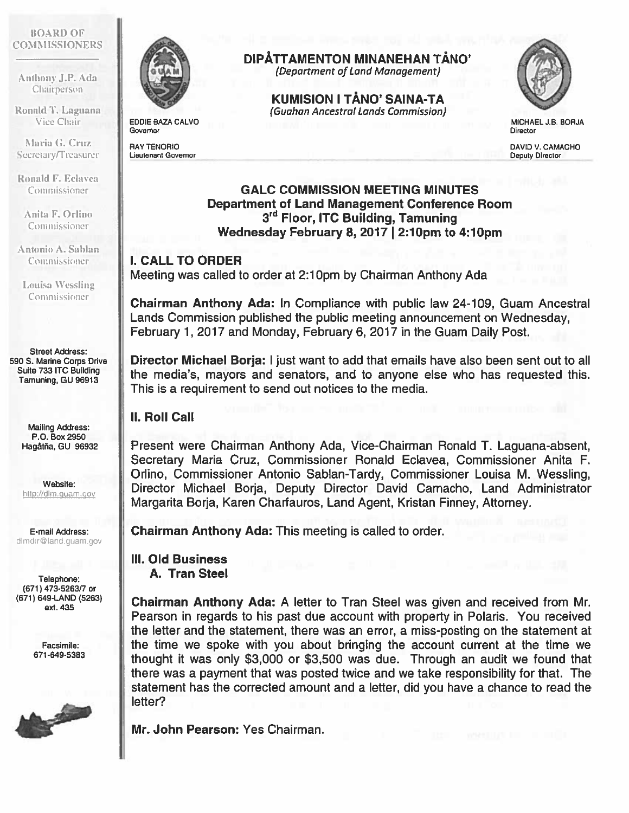#### BOARI) OF COMMISSIONERS

Anthony J.P. Ada Chairperson

Ronald T. Laguana Vice Chair

Maria G. Cruz Secretary/Treasurer

Ronald F. Eclavea Commissioner

Anita F. Orlino Commissioner

Antonio A. Sablan Commissioner

Louisa Wessling Commissioner

Street Address: 590 S. Marine corps Drive Suite 733 ITC Building Tamuning, GU 96913

> Mailing Address: P.O. Box 2950 Hagatña, GU 96932

Website: http://dlm.guam.gov

E-mail Address: dimdir@land.guam.gov

Telephone: (671) 473-5263/7 or (671) 649-LAND (5263) ext. 435

> Facsimile: 671 -649-5383





EDDIE BAZA CALVO **Governor** 

RAY TENORIO Lieutenant Governor

# DIPÄTTAMENTON MINANEHAN TÄNO'

(Department of Land Management)

KUMISION I TANO' SAINA-TA (Guahan Ancestral Lands Commission)



MICHAEL J.B. BORJA Director

DAVID V. CAMACHO Deputy Director

#### GALC COMMISSION MEETING MINUTES Department of Land Management Conference Room 3<sup>rd</sup> Floor, ITC Building, Tamuning Wednesday February 8, 2017 I 2:10pm to 4:10pm

### I. CALL TO ORDER

Meeting was called to order at 2:10pm by Chairman Anthony Ada

Chairman Anthony Ada: In Compliance with public law 24-109, Guam Ancestral Lands Commission published the public meeting announcement on Wednesday, February 1, 2017 and Monday, February 6, 2017 in the Guam Daily Post.

Director Michael Borja: I just want to add that emails have also been sent out to all the media's, mayors and senators, and to anyone else who has requested this. This is <sup>a</sup> requirement to send out notices to the media.

## II. Roll Call

Present were Chairman Anthony Ada, Vice-Chairman Ronald T. Laguana-absent, Secretary Maria Cruz, Commissioner Ronald Eclavea, Commissioner Anita F. Orlino, Commissioner Antonio Sablan-Tardy, Commissioner Louisa M. Wessling, Director Michael Borja, Deputy Director David Camacho, Land Administrator Margarita Borja, Karen Charfauros, Land Agent, Kristan Finney, Attorney.

Chairman Anthony Ada: This meeting is called to order.

#### Ill. Old Business A. Tran Steel

Chairman Anthony Ada: A letter to Tran Steel was given and received from Mr. Pearson in regards to his pas<sup>t</sup> due account with property in Polaris. You received the letter and the statement, there was an error, <sup>a</sup> miss-posting on the statement at the time we spoke with you about bringing the account current at the time we thought it was only \$3,000 or \$3,500 was due. Through an audit we found that there was <sup>a</sup> paymen<sup>t</sup> that was posted twice and we take responsibility for that. The statement has the corrected amount and <sup>a</sup> letter, did you have <sup>a</sup> chance to read the letter?

Mr. John Pearson: Yes Chairman.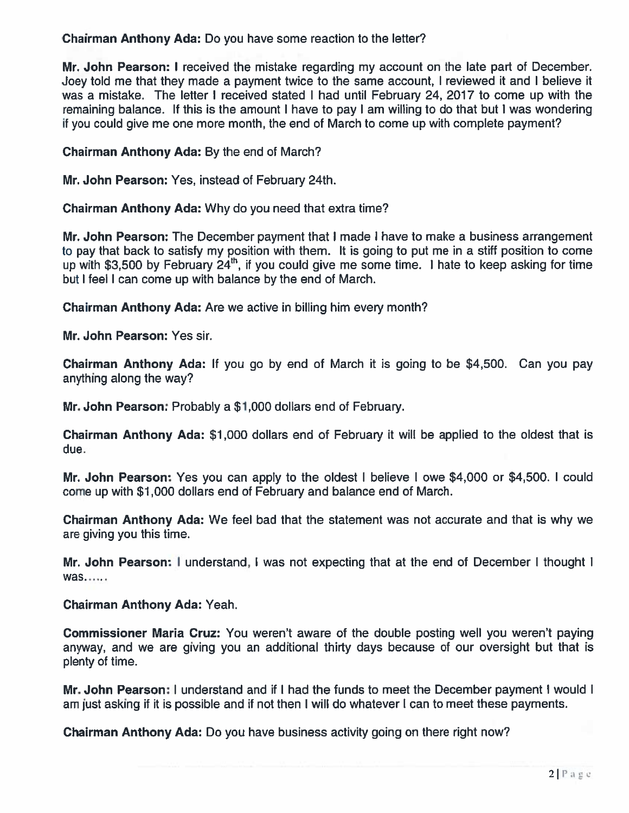Chairman Anthony Ada: Do you have some reaction to the letter?

**Mr. John Pearson: I** received the mistake regarding my account on the late part of December Joey told me that they made <sup>a</sup> paymen<sup>t</sup> twice to the same account, I reviewed it and I believe it was a mistake. The letter I received stated I had until February 24, 2017 to come up with the remaining balance. If this is the amount I have to pay I am willing to do that but I was wondering if you could give me one more month, the end of March to come up with complete payment?

Chairman Anthony Ada: By the end of March?

Mr. John Pearson: Yes, instead of February 24th.

Chairman Anthony Ada: Why do you need that extra time?

**Mr. John Pearson:** The December payment that I made I have to make a business arrangement to pay that back to satisfy my position with them. It is going to pu<sup>t</sup> me in <sup>a</sup> stiff position to come up with \$3,500 by February 24<sup>th</sup>, if you could give me some time. I hate to keep asking for time but I feel I can come up with balance by the end of March.

Chairman Anthony Ada: Are we active in billing him every month?

Mr. John Pearson: Yes sir.

**Chairman Anthony Ada:** If you go by end of March it is going to be \$4,500. Can you pay anything along the way?

**Mr. John Pearson:** Probably a \$1,000 dollars end of February

Chairman Anthony Ada: \$1,000 dollars end of February it will be applied to the oldest that is due.

Mr. John Pearson: Yes you can apply to the oldest I believe I owe \$4,000 or \$4,500. I could come up with \$1,000 dollars end of February and balance end of March.

Chairman Anthony Ada: We feel bad that the statement was not accurate and that is why we are giving you this time.

Mr. John Pearson: I understand, I was not expecting that at the end of December I thought i was

Chairman Anthony Ada: Yeah.

Commissioner Maria Cruz: You weren't aware of the double posting well you weren't paying anyway, and we are giving you an additional thirty days because of our oversight but that is plenty of time.

Mr. John Pearson: I understand and if I had the funds to meet the December payment I would I am just asking if it is possible and if not then I will do whatever I can to meet these payments.

**Chairman Anthony Ada:** Do you have business activity going on there right now?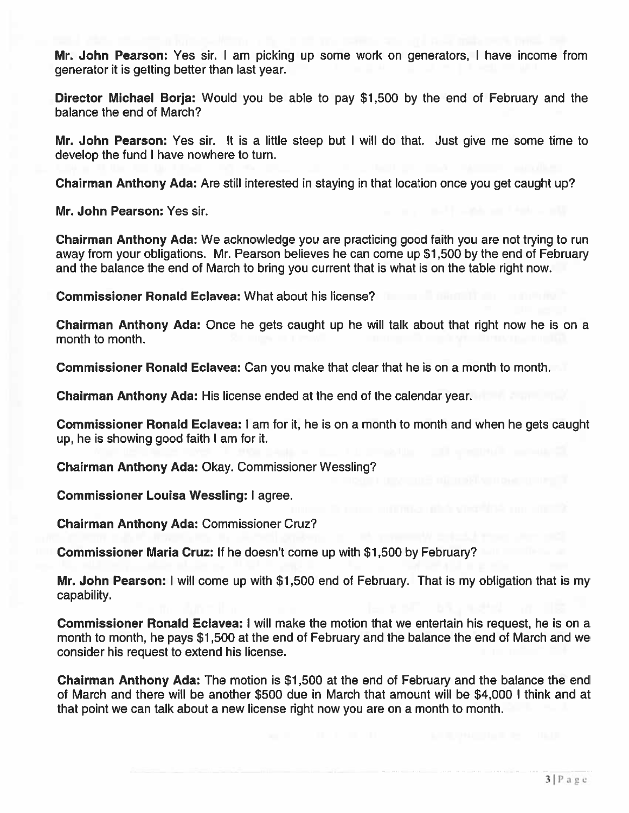Mr. John Pearson: Yes sir. I am picking up some work on generators, I have income from generator it is getting better than last year.

Director Michael Borja: Would you be able to pay \$1,500 by the end of February and the balance the end of March?

Mr. John Pearson: Yes sir. It is <sup>a</sup> little steep but I will do that. Just give me some time to develop the fund I have nowhere to turn.

Chairman Anthony Ada: Are still interested in staying in that location once you ge<sup>t</sup> caught up?

Mr. John Pearson: Yes sir.

Chairman Anthony Ada: We acknowledge you are practicing good faith you are not trying to run away from your obligations. Mr. Pearson believes he can come up \$1,500 by the end of February and the balance the end of March to bring you current that is what is on the table right now.

Commissioner Ronald Eclavea: What about his license?

Chairman Anthony Ada: Once he gets caught up he will talk about that right now he is on <sup>a</sup> month to month.

Commissioner Ronald Eclavea: Can you make that clear that he is on <sup>a</sup> month to month.

Chairman Anthony Ada: His license ended at the end of the calendar year.

Commissioner Ronald Eclavea: I am for it, he is on <sup>a</sup> month to month and when he gets caught up, he is showing good faith I am for it.

Chairman Anthony Ada: Okay. Commissioner Wessling?

Commissioner Louisa Wessling: I agree.

Chairman Anthony Ada: Commissioner Cruz?

Commissioner Maria Cruz: If he doesn't come up with \$1,500 by February?

Mr. John Pearson: I will come up with \$1,500 end of February. That is my obligation that is my capability.

Commissioner Ronald Eclavea: I will make the motion that we entertain his request, he is on <sup>a</sup> month to month, he pays \$1,500 at the end of February and the balance the end of March and we consider his reques<sup>t</sup> to extend his license.

Chairman Anthony Ada: The motion is \$1,500 at the end of February and the balance the end of March and there will be another \$500 due in March that amount will be \$4,000 I think and at that point we can talk about <sup>a</sup> new license right now you are on <sup>a</sup> month to month.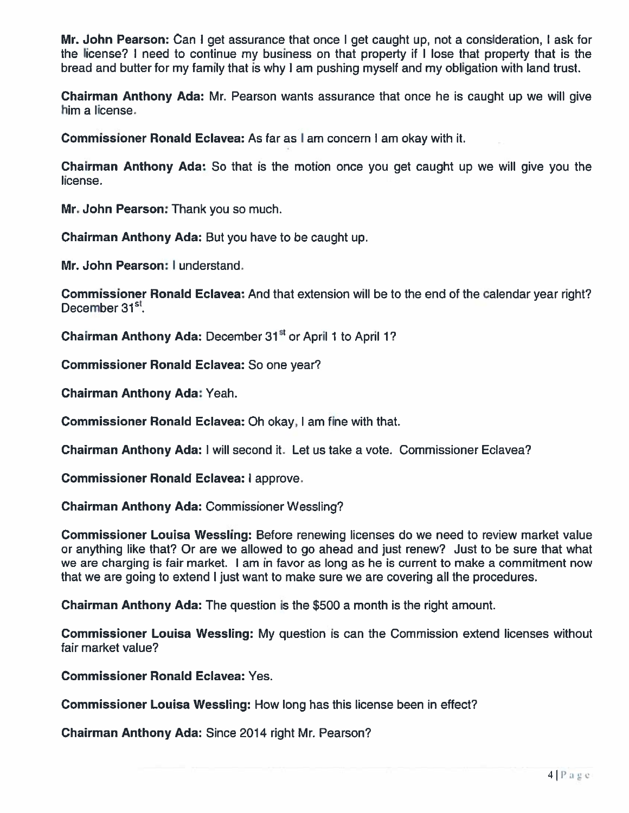Mr. John Pearson: Can I ge<sup>t</sup> assurance that once I ge<sup>t</sup> caught up, not <sup>a</sup> consideration, I ask for the license? I need to continue my business on that property if <sup>I</sup> lose that property that is the bread and butter for my family that is why <sup>I</sup> am pushing myself and my obligation with land trust.

Chairman Anthony Ada: Mr. Pearson wants assurance that once he is caught up we will give him <sup>a</sup> license.

Commissioner Ronald Eclavea: As far as I am concern I am okay with it.

Chairman Anthony Ada: So that is the motion once you ge<sup>t</sup> caught up we will give you the license.

Mr. John Pearson: Thank you so much.

Chairman Anthony Ada: But you have to be caught up.

Mr. John Pearson: I understand.

Commissioner Ronald Eclavea: And that extension will be to the end of the calendar year right? December 31<sup>st</sup>

**Chairman Anthony Ada:** December 31<sup>st</sup> or April 1 to April 1?

Commissioner Ronald Eclavea: So one year?

Chairman Anthony Ada: Yeah.

Commissioner Ronald Eclavea: Oh okay, I am fine with that.

Chairman Anthony Ada: I will second it. Let us take <sup>a</sup> vote. Commissioner Eclavea?

Commissioner Ronald Eclavea: I approve.

Chairman Anthony Ada: Commissioner Wessling?

Commissioner Louisa Wessling: Before renewing licenses do we need to review market value or anything like that? Or are we allowed to go ahead and just renew? Just to be sure that what we are charging is fair market. <sup>I</sup> am in favor as long as he is current to make <sup>a</sup> commitment now that we are going to extend I just want to make sure we are covering all the procedures.

**Chairman Anthony Ada:** The question is the \$500 a month is the right amount

Commissioner Louisa Wessling: My question is can the Commission extend licenses without fair market value?

Commissioner Ronald Eclavea: Yes.

Commissioner Louisa Wessling: How long has this license been in effect?

Chairman Anthony Ada: Since 2014 right Mr. Pearson?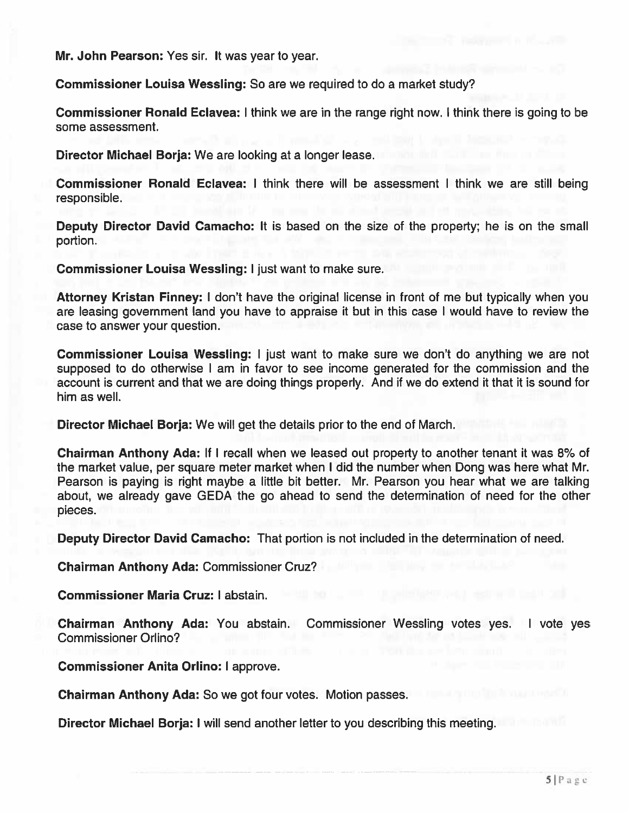Mr. John Pearson: Yes sir. It was year to year.

Commissioner Louisa Wessling: So are we required to do <sup>a</sup> market study?

Commissioner Ronald Eclavea: I think we are in the range right now. I think there is going to be some assessment.

Director Michael Borja: We are looking at <sup>a</sup> longer lease.

Commissioner Ronald Eclavea: I think there will be assessment I think we are still being responsible.

Deputy Director David Camacho: It is based on the size of the property; he is on the small portion.

Commissioner Louisa Wessling: I just want to make sure.

Attorney Kristan Finney: I don't have the original license in front of me but typically when you are leasing governmen<sup>t</sup> land you have to appraise it but in this case I would have to review the case to answer your question.

Commissioner Louisa Wessling: I just want to make sure we don't do anything we are not supposed to do otherwise I am in favor to see income generated for the commission and the account is current and that we are doing things properly. And if we do extend it that it is sound for him as well.

Director Michael Borja: We will ge<sup>t</sup> the details prior to the end of March.

Chairman Anthony Ada: If I recall when we leased out property to another tenant it was 8% of the market value, per square meter market when I did the number when Dong was here what Mr. Pearson is paying is right maybe <sup>a</sup> little bit better. Mr. Pearson you hear what we are talking about, we already gave GEDA the go ahead to send the determination of need for the other pieces.

Deputy Director David Camacho: That portion is not included in the determination of need.

Chairman Anthony Ada: Commissioner Cruz?

Commissioner Maria Cruz: I abstain.

Chairman Anthony Ada: You abstain. Commissioner Wessling votes yes. I vote yes Commissioner Orlino?

Commissioner Anita Orlino: I approve.

Chairman Anthony Ada: So we go<sup>t</sup> four votes. Motion passes.

Director Michael Borja: I will send another letter to you describing this meeting.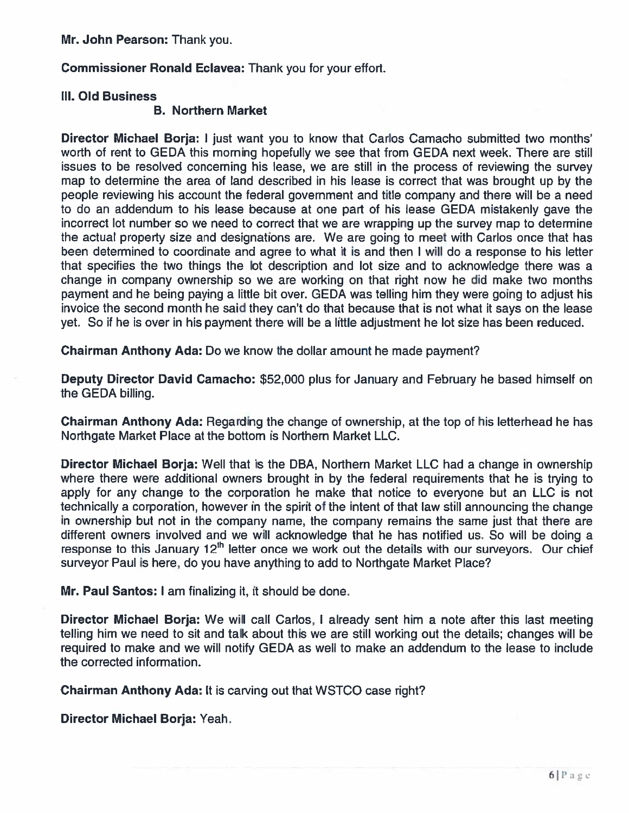Mr. John Pearson: Thank you.

Commissioner Ronald Eclavea: Thank you for your effort.

#### Ill. Old Business

#### B. Northern Market

Director Michael Borja: I just want you to know that Carlos Camacho submitted two months worth of rent to GEDA this morning hopefully we see that from GEDA next week. There are still issues to be resolved concerning his lease, we are still in the process of reviewing the survey map to determine the area of land described in his lease is correct that was brought up by the people reviewing his account the federal governmen<sup>t</sup> and title company and there will be <sup>a</sup> need to do an addendum to his lease because at one par<sup>t</sup> of his lease GEDA mistakenly gave the incorrect lot number so we need to correct that we are wrapping up the survey map to determine the actual property size and designations are. We are going to meet with Carlos once that has been determined to coordinate and agree to what it is and then I will do <sup>a</sup> response to his letter that specifies the two things the lot description and lot size and to acknowledge there was <sup>a</sup> change in company ownership so we are working on that right now he did make two months paymen<sup>t</sup> and he being paying <sup>a</sup> little bit over. GEDA was telling him they were going to adjust his invoice the second month he said they can't do that because that is not what it says on the lease yet. So if he is over in his paymen<sup>t</sup> there will be <sup>a</sup> little adjustment he lot size has been reduced.

Chairman Anthony Ada: Do we know the dollar amount he made payment?

Deputy Director David Camacho: \$52,000 plus for January and February he based himself on the GEDA billing.

Chairman Anthony Ada: Regarding the change of ownership, at the top of his letterhead he has Northgate Market Place at the bottom is Northern Market LLC.

Director Michael Borja: Well that is the DBA, Northern Market LLC had <sup>a</sup> change in ownership where there were additional owners brought in by the federal requirements that he is trying to apply for any change to the corporation he make that notice to everyone but an LLC is not technically <sup>a</sup> corporation, however in the spirit of the intent of that law still announcing the change in ownership but not in the company name, the company remains the same just that there are different owners involved and we will acknowledge that he has notified us. So will be doing <sup>a</sup> response to this January  $12<sup>th</sup>$  letter once we work out the details with our surveyors. Our chief surveyor Paul is here, do you have anything to add to Northgate Market Place?

Mr. Paul Santos: I am finalizing it, it should be done.

Director Michael Borja: We will call Carlos, <sup>I</sup> already sent him <sup>a</sup> note after this last meeting telling him we need to sit and talk about this we are still working out the details; changes will be required to make and we will notify GEDA as well to make an addendum to the lease to include the corrected information.

Chairman Anthony Ada: It is carving out that WSTCO case right?

Director Michael Borja: Yeah.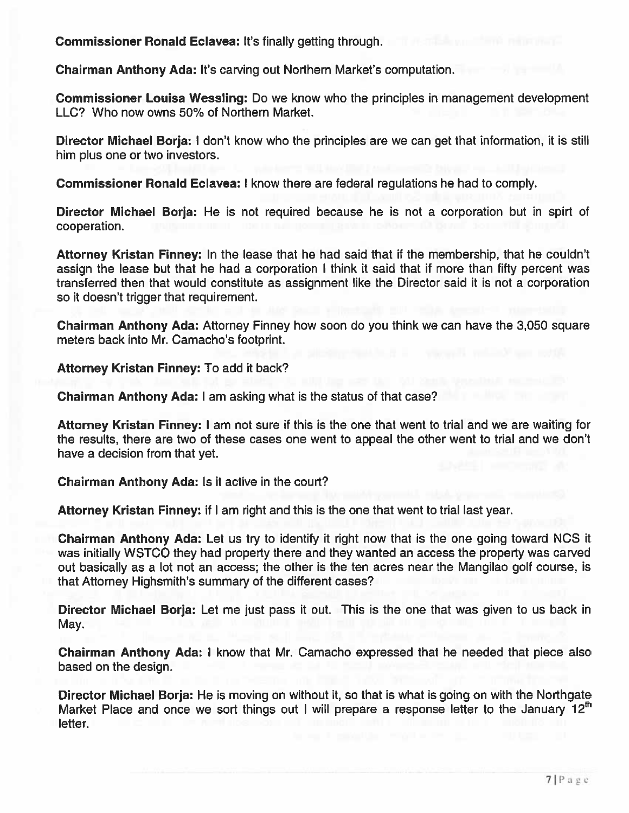Commissioner Ronald Eclavea: It's finally getting through.

Chairman Anthony Ada: It's carving out Northern Market's computation.

Commissioner Louisa Wessling: Do we know who the principles in managemen<sup>t</sup> development LLC? Who now owns 50% of Northern Market.

Director Michael Borja: I don't know who the principles are we can ge<sup>t</sup> that information, it is still him plus one or two investors.

Commissioner Ronald Eclavea: I know there are federal regulations he had to comply.

Director Michael Borja: He is not required because he is not a corporation but in spirt of cooperation.

Attorney Kristan Finney: In the lease that he had said that if the membership, that he couldn't assign the lease but that he had <sup>a</sup> corporation I think it said that if more than fifty percen<sup>t</sup> was transferred then that would constitute as assignment like the Director said it is not <sup>a</sup> corporation so it doesn't trigger that requirement.

Chairman Anthony Ada: Attorney Finney how soon do you think we can have the 3,050 square meters back into Mr. Camacho's footprint.

Attorney Kristan Finney: To add it back?

Chairman Anthony Ada: I am asking what is the status of that case?

Attorney Kristan Finney: I am not sure if this is the one that went to trial and we are waiting for the results, there are two of these cases one went to appeal the other went to trial and we don't have <sup>a</sup> decision from that yet.

Chairman Anthony Ada: Is it active in the court?

Attorney Kristan Finney: if I am right and this is the one that went to trial last year.

Chairman Anthony Ada: Let us try to identify it right now that is the one going toward NCS it was initially WSTCO they had property there and they wanted an access the property was carved out basically as <sup>a</sup> lot not an access; the other is the ten acres near the Mangilao golf course, is that Attorney Highsmith's summary of the different cases?

Director Michael Borja: Let me just pass it out. This is the one that was given to us back in May.

Chairman Anthony Ada: I know that Mr. Camacho expressed that he needed that piece also based on the design.

Director Michael Borja: He is moving on without it, so that is what is going on with the Northgate Market Place and once we sort things out I will prepare a response letter to the January  $12<sup>th</sup>$ letter.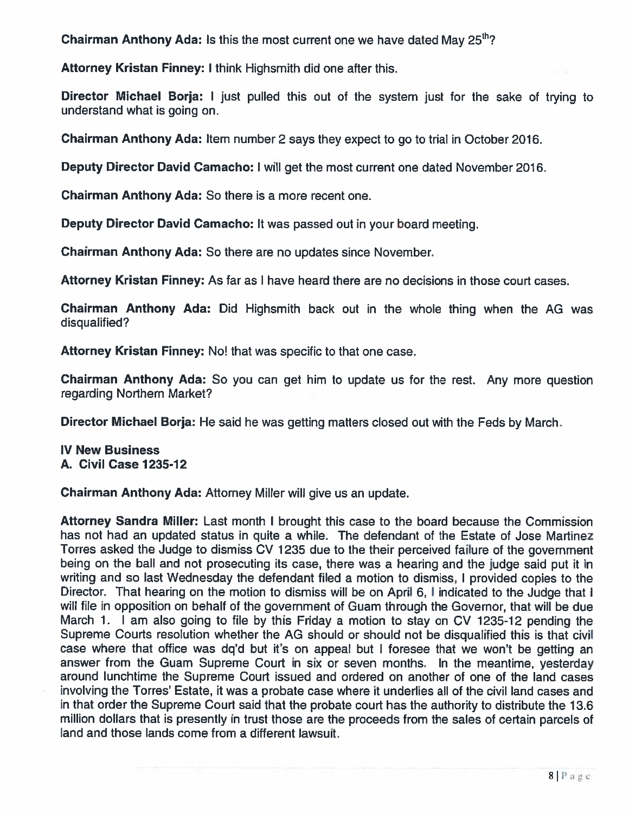**Chairman Anthony Ada: Is** this the most current one we have dated May 25<sup>th</sup>?

Attorney Kristan Finney: <sup>I</sup> think Highsmith did one after this.

Director Michael Borja: I just pulled this out of the system just for the sake of trying to understand what is going on.

Chairman Anthony Ada: Item number 2 says they expec<sup>t</sup> to go to trial in October 2016.

Deputy Director David Camacho: <sup>I</sup> will ge<sup>t</sup> the most current one dated November 2016.

Chairman Anthony Ada: So there is <sup>a</sup> more recent one.

Deputy Director David Camacho: It was passed out in your board meeting.

Chairman Anthony Ada: So there are no updates since November.

Attorney Kristan Finney: As far as I have heard there are no decisions in those court cases.

Chairman Anthony Ada: Did Highsmith back out in the whole thing when the AG was disqualified?

Attorney Kristan Finney: No! that was specific to that one case.

**Chairman Anthony Ada:** So you can get him to update us for the rest. Any more questior regarding Northern Market?

Director Michael Borja: He said he was getting matters closed out with the Feds by March.

## IV New Business A. Civil Case 1235-12

Chairman Anthony Ada: Attorney Miller will give us an update.

Attorney Sandra Miller: Last month <sup>I</sup> brought this case to the board because the Commission has not had an updated status in quite <sup>a</sup> while. The defendant of the Estate of Jose Martinez Torres asked the Judge to dismiss CV 1235 due to the their perceived failure of the governmen<sup>t</sup> being on the ball and not prosecuting its case, there was <sup>a</sup> hearing and the judge said pu<sup>t</sup> it in writing and so last Wednesday the defendant filed <sup>a</sup> motion to dismiss, <sup>I</sup> provided copies to the Director. That hearing on the motion to dismiss will be on April 6, I indicated to the Judge that i will file in opposition on behalf of the governmen<sup>t</sup> of Guam through the Governor, that will be due March 1. I am also going to file by this Friday <sup>a</sup> motion to stay on CV 1235-12 pending the Supreme Courts resolution whether the AG should or should not be disqualified this is that civil case where that office was dq'd but it's on appeal but <sup>I</sup> foresee that we won't be getting an answer from the Guam Supreme Court in six or seven months. In the meantime, yesterday around lunchtime the Supreme Court issued and ordered on another of one of the land cases involving the Torres' Estate, it was <sup>a</sup> probate case where it underlies all of the civil land cases and in that order the Supreme Court said that the probate court has the authority to distribute the 13.6 million dollars that is presently in trust those are the proceeds from the sales of certain parcels of land and those lands come from <sup>a</sup> different lawsuit.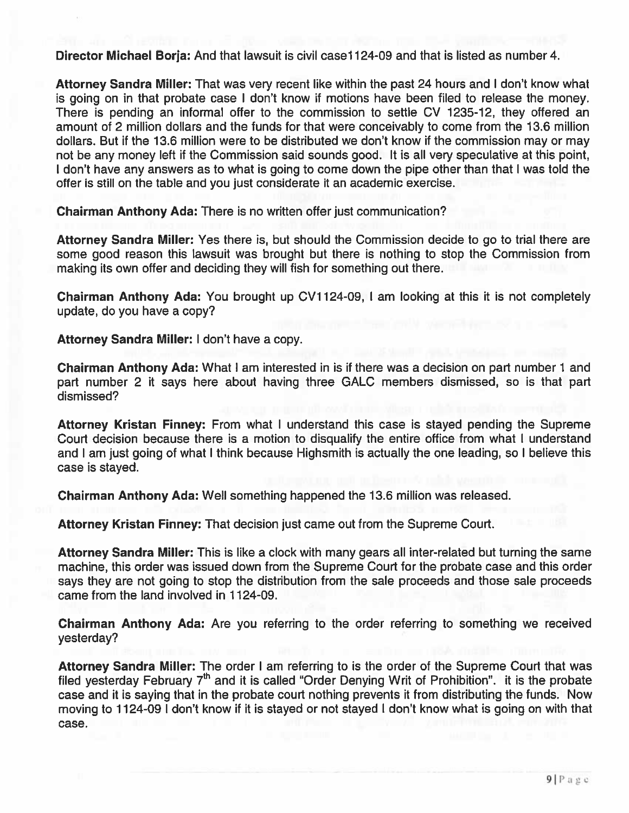Director Michael Borja: And that lawsuit is civil case 1124-09 and that is listed as number 4.

Attorney Sandra Miller: That was very recent like within the pas<sup>t</sup> 24 hours and I don't know what is going on in that probate case I don't know if motions have been filed to release the money. There is pending an informal offer to the commission to settle CV 1235-12, they offered an amount of 2 million dollars and the funds for that were conceivably to come from the 13.6 million dollars. But if the 13.6 million were to be distributed we don't know if the commission may or may not be any money left if the Commission said sounds good. It is all very speculative at this point, <sup>I</sup> don't have any answers as to what is going to come down the pipe other than that <sup>I</sup> was told the offer is still on the table and you just considerate it an academic exercise.

Chairman Anthony Ada: There is no written offer just communication?

Attorney Sandra Miller: Yes there is, but should the Commission decide to go to trial there are some good reason this lawsuit was brought but there is nothing to stop the Commission from making its own offer and deciding they will fish for something out there.

Chairman Anthony Ada: You brought up CV1 124-09, I am looking at this it is not completely update, do you have <sup>a</sup> copy?

Attorney Sandra Miller: I don't have <sup>a</sup> copy.

Chairman Anthony Ada: What I am interested in is if there was <sup>a</sup> decision on par<sup>t</sup> number 1 and par<sup>t</sup> number 2 it says here about having three GALC members dismissed, so is that par<sup>t</sup> dismissed?

Attorney Kristan Finney: From what I understand this case is stayed pending the Supreme Court decision because there is <sup>a</sup> motion to disqualify the entire office from what I understand and <sup>I</sup> am just going of what <sup>I</sup> think because Highsmith is actually the one leading, so <sup>I</sup> believe this case is stayed.

Chairman Anthony Ada: Well something happened the 13.6 million was released.

Attorney Kristan Finney: That decision just came out from the Supreme Court.

Attorney Sandra Miller: This is like <sup>a</sup> clock with many gears all inter-related but turning the same machine, this order was issued down from the Supreme Court for the probate case and this order says they are not going to stop the distribution from the sale proceeds and those sale proceeds came from the land involved in 1124-09.

Chairman Anthony Ada: Are you referring to the order referring to something we received yesterday?

Attorney Sandra Miller: The order I am referring to is the order of the Supreme Court that was filed yesterday February  $7<sup>th</sup>$  and it is called "Order Denying Writ of Prohibition". it is the probate case and it is saying that in the probate court nothing prevents it from distributing the funds. Now moving to 1124-09 <sup>I</sup> don't know if it is stayed or not stayed <sup>I</sup> don't know what is going on with that case.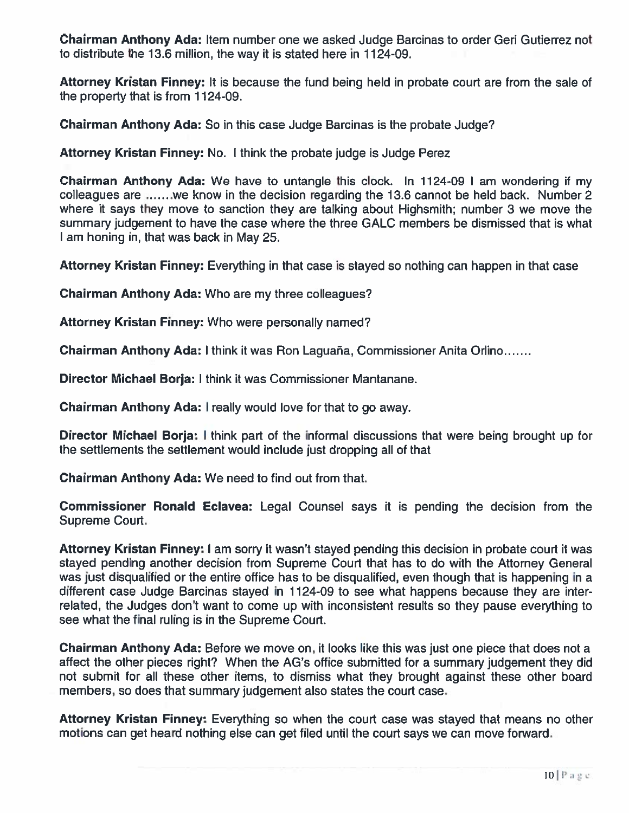Chairman Anthony Ada: Item number one we asked Judge Barcinas to order Geri Gutierrez not to distribute the 13.6 million, the way it is stated here in 1124-09.

Attorney Kristan Finney: It is because the fund being held in probate court are from the sale of the property that is from 1124-09.

Chairman Anthony Ada: So in this case Judge Barcinas is the probate Judge?

Attorney Kristan Finney: No. <sup>I</sup> think the probate judge is Judge Perez

Chairman Anthony Ada: We have to untangle this clock. In 1124-09 <sup>I</sup> am wondering if my colleagues are  $...,$  we know in the decision regarding the 13.6 cannot be held back. Number 2 where it says they move to sanction they are talking about Highsmith; number 3 we move the summary judgement to have the case where the three GALC members be dismissed that is what I am honing in, that was back in May 25

Attorney Kristan Finney: Everything in that case is stayed so nothing can happen in that case

Chairman Anthony Ada: Who are my three colleagues?

Attorney Kristan Finney: Who were personally named?

Chairman Anthony Ada: I think it was Ron Laguaña, Commissioner Anita Orlino

**Director Michael Borja:** I think it was Commissioner Mantanane

Chairman Anthony Ada: <sup>I</sup> really would love for that to go away.

**Director Michael Borja:** I think part of the informal discussions that were being brought up for the settlements the settlement would include just dropping all of that

Chairman Anthony Ada: We need to find out from that.

Commissioner Ronald Eclavea: Legal Counsel says it is pending the decision from the Supreme Court.

Attorney Kristan Finney: <sup>I</sup> am sorry it wasn't stayed pending this decision in probate court it was stayed pending another decision from Supreme Court that has to do with the Attorney General was just disqualified or the entire office has to be disqualified, even though that is happening in <sup>a</sup> different case Judge Barcinas stayed in 1124-09 to see what happens because they are inter related, the Judges don't want to come up with inconsistent results so they pause everything to see what the final ruling is in the Supreme Court.

Chairman Anthony Ada: Before we move on, it looks like this was just one piece that does not <sup>a</sup> affect the other pieces right? When the AG's office submitted for <sup>a</sup> summary judgement they did not submit for all these other items, to dismiss what they brought against these other board members, so does that summary judgement also states the court case.

Attorney Kristan Finney: Everything so when the court case was stayed that means no other motions can ge<sup>t</sup> heard nothing else can ge<sup>t</sup> filed until the court says we can move forward.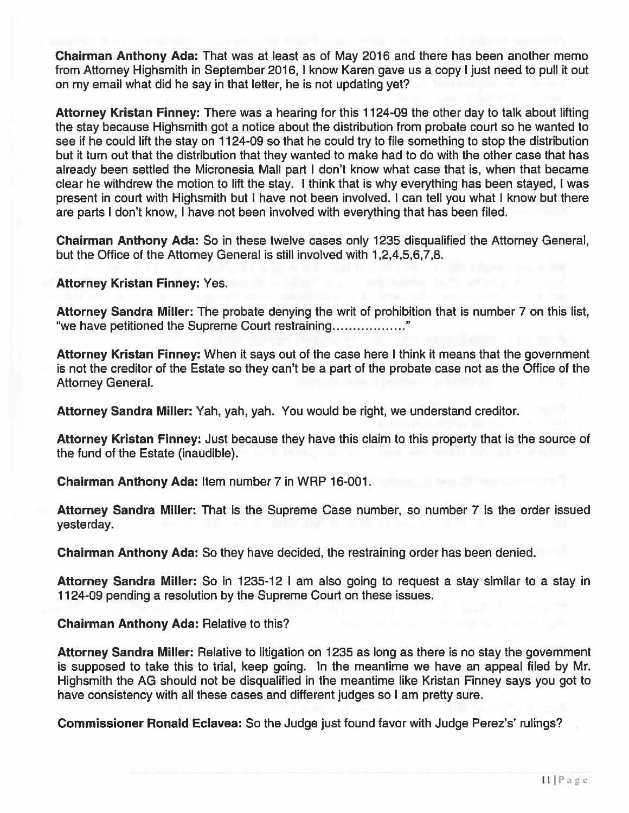Chairman Anthony Ada: That was at least as of May 2016 and there has been another memo from Attorney Highsmith in September 2016, I know Karen gave us <sup>a</sup> copy I just need to pull it out on my email what did he say in that letter, he is not updating yet?

Attorney Kristan Finney: There was <sup>a</sup> hearing for this 1124-09 the other day to talk about lifting the stay because Highsmith go<sup>t</sup> <sup>a</sup> notice about the distribution from probate court so he wanted to see if he could lift the stay on 1124-09 so that he could try to file something to stop the distribution but it turn out that the distribution that they wanted to make had to do with the other case that has already been settled the Micronesia Mall par<sup>t</sup> I don't know what case that is, when that became clear he withdrew the motion to lift the stay. I think that is why everything has been stayed, I was presen<sup>t</sup> in court with Highsmith but I have not been involved. I can tell you what I know but there are parts I don't know, I have not been involved with everything that has been filed.

Chairman Anthony Ada: So in these twelve cases only 1235 disqualified the Attorney General, but the Office of the Attorney General is still involved with 1,2,4,5,6,7,8.

Attorney Kristan Finney: Yes.

Attorney Sandra Miller: The probate denying the writ of prohibition that is number 7 on this list, "we have petitioned the Supreme Court restraining

Attorney Kristan Finney: When it says out of the case here I think it means that the government is not the creditor of the Estate so they can't be <sup>a</sup> par<sup>t</sup> of the probate case not as the Office of the Attorney General.

Attorney Sandra Miller: Yah, yah, yah. You would be right, we understand creditor.

Attorney Kristan Finney: Just because they have this claim to this property that is the source of the fund of the Estate (inaudible).

Chairman Anthony Ada: Item number 7 in WRP 16-001.

Attorney Sandra Miller: That is the Supreme Case number, so number 7 is the order issued yesterday.

Chairman Anthony Ada: So they have decided, the restraining order has been denied.

Attorney Sandra Miller: So in 1235-12 I am also going to reques<sup>t</sup> <sup>a</sup> stay similar to <sup>a</sup> stay in 1124-09 pending <sup>a</sup> resolution by the Supreme Court on these issues.

Chairman Anthony Ada: Relative to this?

Attorney Sandra Miller: Relative to litigation on 1235 as long as there is no stay the governmen<sup>t</sup> is supposed to take this to trial, keep going. In the meantime we have an appeal filed by Mr. Highsmith the AG should not be disqualified in the meantime like Kristan Finney says you go<sup>t</sup> to have consistency with all these cases and different judges so I am pretty sure.

Commissioner Ronald Eclavea: So the Judge just found favor with Judge Perez's' rulings?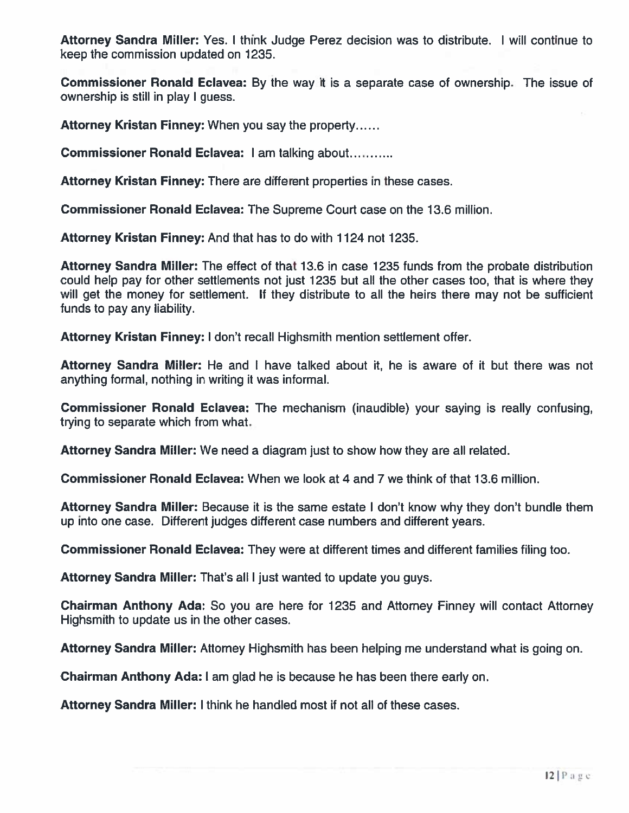Attorney Sandra Miller: Yes. I think Judge Perez decision was to distribute. I will continue to keep the commission updated on 1235.

Commissioner Ronald Eclavea: By the way it is <sup>a</sup> separate case of ownership. The issue of ownership is still in play I guess.

Attorney Kristan Finney: When you say the property......

Commissioner Ronald Eclavea: I am talking about

Attorney Kristan Finney: There are different properties in these cases.

Commissioner Ronald Eclavea: The Supreme Court case on the 13.6 million.

Attorney Kristan Finney: And that has to do with 1124 not 1235.

Attorney Sandra Miller: The effect of that 13.6 in case 1235 funds from the probate distribution could help pay for other settlements not just 1235 but all the other cases too, that is where they will ge<sup>t</sup> the money for settlement. If they distribute to all the heirs there may not be sufficient funds to pay any liability.

Attorney Kristan Finney: I don't recall Highsmith mention settlement offer.

Attorney Sandra Miller: He and I have talked about it, he is aware of it but there was not anything formal, nothing in writing it was informal.

**Commissioner Ronald Eclavea:** The mechanism (inaudible) your saying is really confusing trying to separate which from what.

Attorney Sandra Miller: We need <sup>a</sup> diagram just to show how they are all related.

Commissioner Ronald Eclavea: When we look at 4 and 7 we think of that 13.6 million.

Attorney Sandra Miller: Because it is the same estate I don't know why they don't bundle them up into one case. Different judges different case numbers and different years.

Commissioner Ronald Eclavea: They were at different times and different families filing too.

Attorney Sandra Miller: That's all <sup>I</sup> just wanted to update you guys.

Chairman Anthony Ada: So you are here for 1235 and Attorney Finney will contact Attorney Highsmith to update us in the other cases.

Attorney Sandra Miller: Attorney Highsmith has been helping me understand what is going on.

Chairman Anthony Ada: I am glad he is because he has been there early on.

Attorney Sandra Miller: I think he handled most if not all of these cases.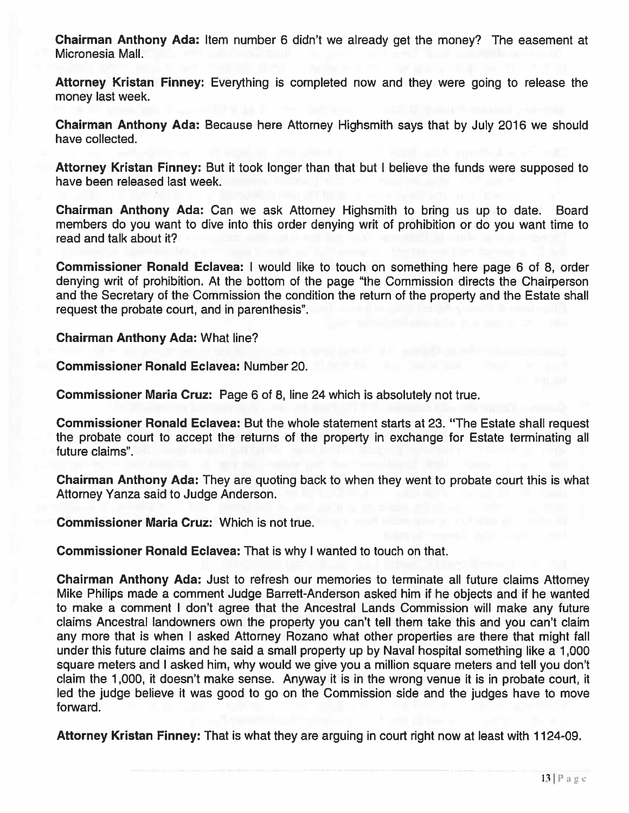Chairman Anthony Ada: Item number 6 didn't we already ge<sup>t</sup> the money? The easement at Micronesia Mall.

Attorney Kristan Finney: Everything is completed now and they were going to release the money last week.

Chairman Anthony Ada: Because here Attorney Highsmith says that by July 2016 we should have collected.

Attorney Kristan Finney: But it took longer than that but I believe the funds were supposed to have been released last week.

Chairman Anthony Ada: Can we ask Attorney Highsmith to bring us up to date. Board members do you want to dive into this order denying writ of prohibition or do you want time to read and talk about it?

Commissioner Ronald Eclavea: I would like to touch on something here page 6 of 8, order denying writ of prohibition. At the bottom of the page "the Commission directs the Chairperson and the Secretary of the Commission the condition the return of the property and the Estate shall reques<sup>t</sup> the probate court, and in parenthesis".

Chairman Anthony Ada: What line?

Commissioner Ronald Eclavea: Number 20.

Commissioner Maria Cruz: Page 6 of 8, line 24 which is absolutely not true.

Commissioner Ronald Eclavea: But the whole statement starts at 23. "The Estate shall reques<sup>t</sup> the probate court to accep<sup>t</sup> the returns of the property in exchange for Estate terminating all future claims".

Chairman Anthony Ada: They are quoting back to when they went to probate court this is what Attorney Yanza said to Judge Anderson.

Commissioner Maria Cruz: Which is not true.

Commissioner Ronald Eclavea: That is why I wanted to touch on that.

Chairman Anthony Ada: Just to refresh our memories to terminate all future claims Attorney Mike Philips made <sup>a</sup> comment Judge Barrett-Anderson asked him if he objects and if he wanted to make <sup>a</sup> comment I don't agree that the Ancestral Lands Commission will make any future claims Ancestral landowners own the property you can't tell them take this and you can't claim any more that is when I asked Attorney Rozano what other properties are there that might fall under this future claims and he said <sup>a</sup> small property up by Naval hospital something like <sup>a</sup> 1,000 square meters and I asked him, why would we give you <sup>a</sup> million square meters and tell you don't claim the 1,000, it doesn't make sense. Anyway it is in the wrong venue it is in probate court, it led the judge believe it was good to go on the Commission side and the judges have to move forward.

Attorney Kristan Finney: That is what they are arguing in court right now at least with 1124-09.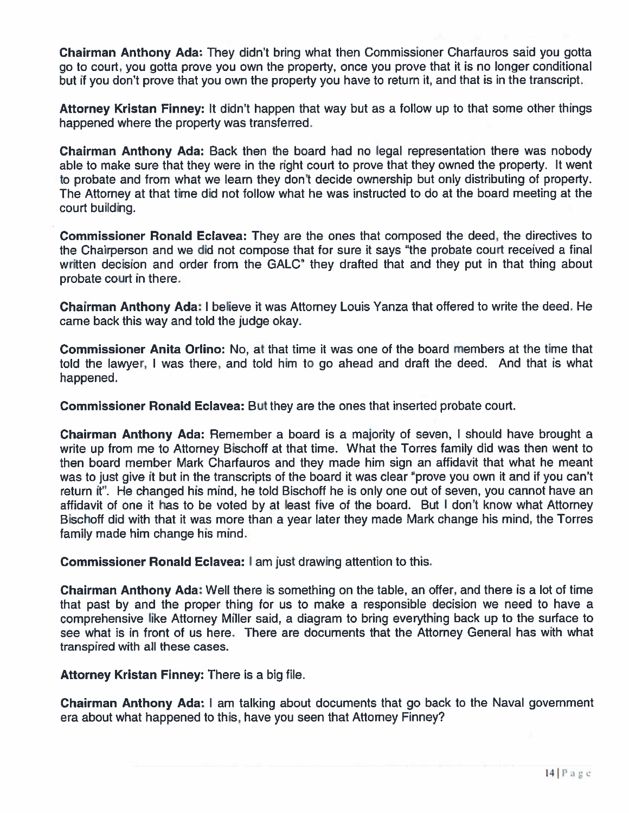Chairman Anthony Ada: They didn't bring what then Commissioner Charfauros said you gotta go to court, you gotta prove you own the property, once you prove that it is no longer conditional but if you don't prove that you own the property you have to return it, and that is in the transcript.

Attorney Kristan Finney: It didn't happen that way but as <sup>a</sup> follow up to that some other things happened where the property was transferred.

Chairman Anthony Ada: Back then the board had no legal representation there was nobody able to make sure that they were in the right court to prove that they owned the property. It went to probate and from what we learn they don't decide ownership but only distributing of property. The Attorney at that time did not follow what he was instructed to do at the board meeting at the court building.

Commissioner Ronald Eclavea: They are the ones that composed the deed, the directives to the Chairperson and we did not compose that for sure it says "the probate court received <sup>a</sup> final written decision and order from the GALC" they drafted that and they pu<sup>t</sup> in that thing about probate court in there.

Chairman Anthony Ada: <sup>I</sup> believe it was Attorney Louis Yanza that offered to write the deed. He came back this way and told the judge okay.

Commissioner Anita Orlino: No, at that time it was one of the board members at the time that told the lawyer, <sup>I</sup> was there, and told him to go ahead and draft the deed. And that is what happened.

Commissioner Ronald Eclavea: But they are the ones that inserted probate court.

Chairman Anthony Ada: Remember <sup>a</sup> board is <sup>a</sup> majority of seven, I should have brought <sup>a</sup> write up from me to Attomey Bischoff at that time. What the Torres family did was then went to then board member Mark Charfauros and they made him sign an affidavit that what he meant was to just give it but in the transcripts of the board it was clear "prove you own it and if you can't return it". He changed his mind, he told Bischoff he is only one out of seven, you cannot have an affidavit of one it has to be voted by at least five of the board. But <sup>I</sup> don't know what Attorney Bischoff did with that it was more than <sup>a</sup> year later they made Mark change his mind, the Torres family made him change his mind.

Commissioner Ronald Eclavea: I am just drawing attention to this.

Chairman Anthony Ada: Well there is something on the table, an offer, and there is <sup>a</sup> lot of time that pas<sup>t</sup> by and the proper thing for us to make <sup>a</sup> responsible decision we need to have <sup>a</sup> comprehensive like Attorney Miller said, <sup>a</sup> diagram to bring everything back up to the surface to see what is in front of us here. There are documents that the Attorney General has with what transpired with all these cases.

Attorney Kristan Finney: There is <sup>a</sup> big file.

**Chairman Anthony Ada:** I am talking about documents that go back to the Naval government era about what happened to this, have you seen that Attorney Finney?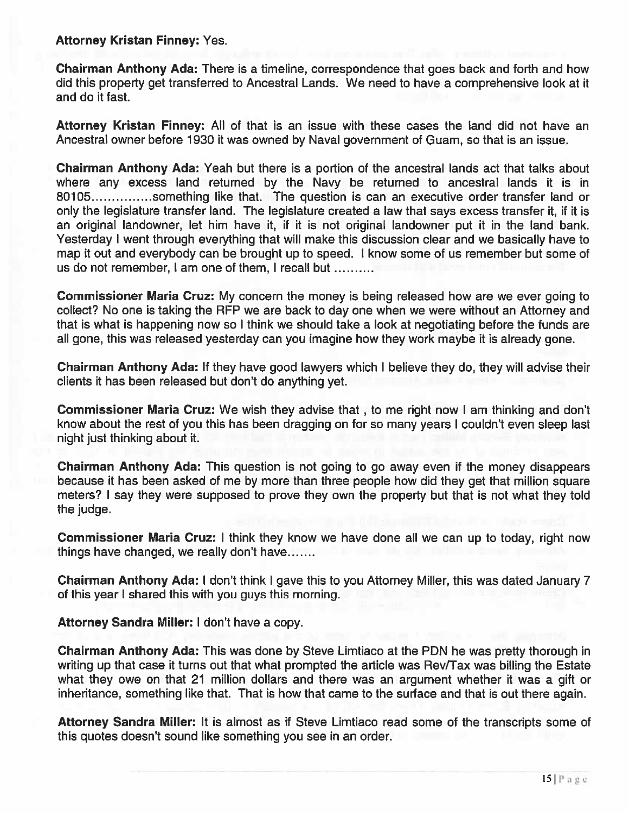#### Attorney Kristan Finney: Yes.

Chairman Anthony Ada: There is <sup>a</sup> timeline, correspondence that goes back and forth and how did this property ge<sup>t</sup> transferred to Ancestral Lands. We need to have <sup>a</sup> comprehensive look at it and do it fast.

Attorney Kristan Finney: All of that is an issue with these cases the land did not have an Ancestral owner before 1930 it was owned by Naval governmen<sup>t</sup> of Guam, so that is an issue.

Chairman Anthony Ada: Yeah but there is <sup>a</sup> portion of the ancestral lands act that talks about where any excess land returned by the Navy be returned to ancestral lands it is in 80105...............something like that. The question is can an executive order transfer land or only the legislature transfer land. The legislature created <sup>a</sup> law that says excess transfer it, if it is an original landowner, let him have it, if it is not original landowner pu<sup>t</sup> it in the land bank. Yesterday I went through everything that will make this discussion clear and we basically have to map it out and everybody can be brought up to speed. I know some of us remember but some of us do not remember, I am one of them, I recall but

Commissioner Maria Cruz: My concern the money is being released how are we ever going to collect? No one is taking the RFP we are back to day one when we were without an Attorney and that is what is happening now so I think we should take <sup>a</sup> look at negotiating before the funds are all gone, this was released yesterday can you imagine how they work maybe it is already gone.

Chairman Anthony Ada: If they have good lawyers which I believe they do, they will advise their clients it has been released but don't do anything yet.

Commissioner Maria Crux: We wish they advise that , to me right now I am thinking and don't know about the rest of you this has been dragging on for so many years I couldn't even sleep last night just thinking about it.

Chairman Anthony Ada: This question is not going to go away even if the money disappears because it has been asked of me by more than three people how did they ge<sup>t</sup> that million square meters? I say they were supposed to prove they own the property but that is not what they told the judge.

Commissioner Maria Crux: <sup>I</sup> think they know we have done all we can up to today, right now things have changed, we really don't have

Chairman Anthony Ada: I don't think I gave this to you Attorney Miller, this was dated January 7 of this year I shared this with you guys this morning.

Attorney Sandra Miller: I don't have <sup>a</sup> copy.

Chairman Anthony Ada: This was done by Steve Limtiaco at the PDN he was pretty thorough in writing up that case it turns out that what prompted the article was Rev/Tax was billing the Estate what they owe on that 21 million dollars and there was an argumen<sup>t</sup> whether it was <sup>a</sup> gift or inheritance, something like that. That is how that came to the surface and that is out there again.

Attorney Sandra Miller: It is almost as if Steve Limtiaco read some of the transcripts some of this quotes doesn't sound like something you see in an order.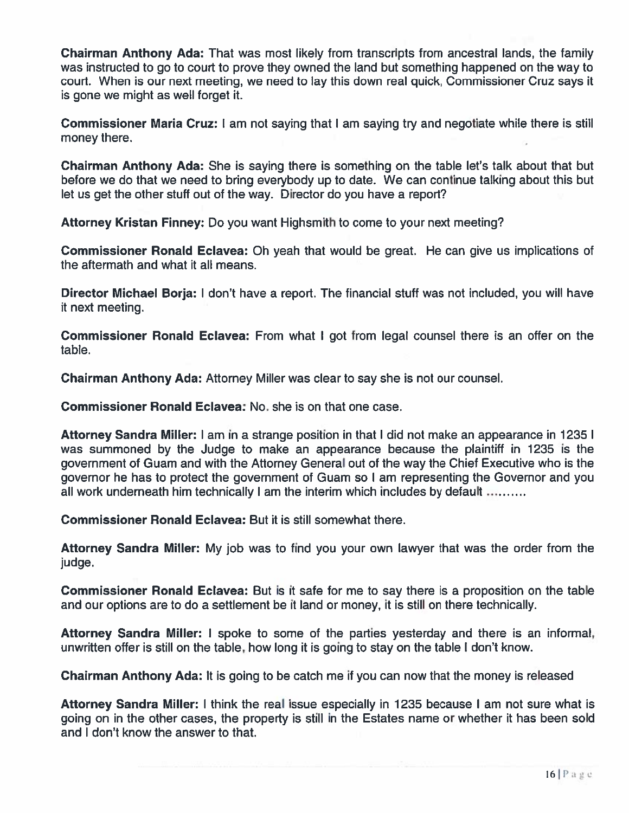Chairman Anthony Ada: That was most likely from transcripts from ancestral lands, the family was instructed to go to court to prove they owned the land but something happened on the way to court. When is our next meeting, we need to lay this down real quick, Commissioner Cruz says it is gone we might as well forget it.

**Commissioner Maria Cruz:** I am not saying that I am saying try and negotiate while there is stil money there.

Chairman Anthony Ada: She is saying there is something on the table let's talk about that but before we do that we need to bring everybody up to date. We can continue talking about this but let us ge<sup>t</sup> the other stuff out of the way. Director do you have <sup>a</sup> report?

Attorney Kristan Finney: Do you want Highsmith to come to your next meeting?

Commissioner Ronald Eclavea: Oh yeah that would be great. He can give us implications of the aftermath and what it all means.

Director Michael Borja: I don't have <sup>a</sup> report. The financial stuff was not included, you will have it next meeting.

Commissioner Ronald Eclavea: From what I go<sup>t</sup> from legal counsel there is an offer on the table.

Chairman Anthony Ada: Attorney Miller was clear to say she is not our counsel.

Commissioner Ronald Eclavea: No. she is on that one case.

Attorney Sandra Miller: I am in <sup>a</sup> strange position in that I did not make an appearance in 1235 I was summoned by the Judge to make an appearance because the plaintiff in 1235 is the governmen<sup>t</sup> of Guam and with the Attorney General out of the way the Chief Executive who is the governor he has to protect the governmen<sup>t</sup> of Guam so I am representing the Governor and you all work underneath him technically I am the interim which includes by default

Commissioner Ronald Eclavea: But it is still somewhat there.

Attorney Sandra Miller: My job was to find you your own lawyer that was the order from the judge.

**Commissioner Ronald Eclavea:** But is it safe for me to say there is a proposition on the table and our options are to do <sup>a</sup> settlement be it land or money, it is still on there technically.

Attorney Sandra Miller: I spoke to some of the parties yesterday and there is an informal, unwritten offer is still on the table, how long it is going to stay on the table I don't know.

**Chairman Anthony Ada:** It is going to be catch me if you can now that the money is released

Attorney Sandra Miller: I think the real issue especially in 1235 because I am not sure what is going on in the other cases, the property is still in the Estates name or whether it has been sold and I don't know the answer to that.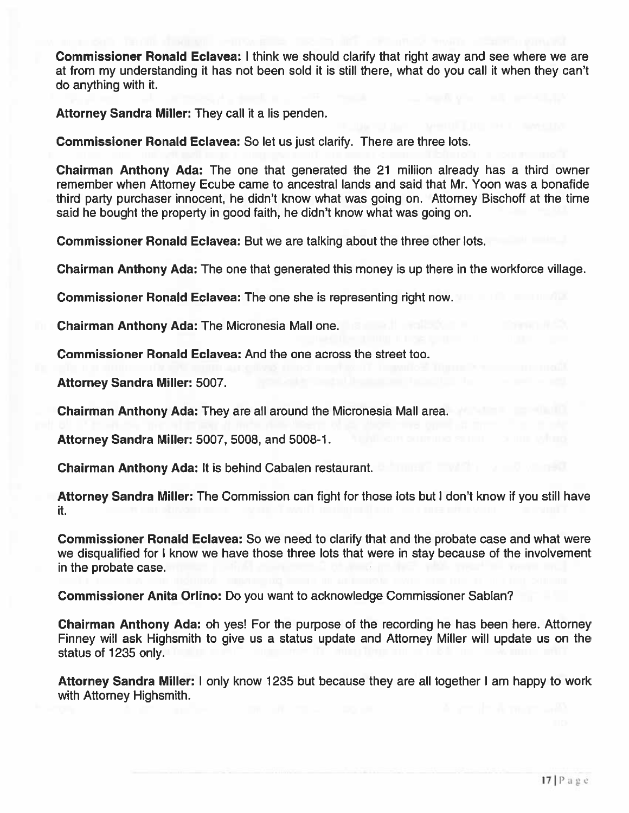Commissioner Ronald Eclavea: I think we should clarify that right away and see where we are at from my understanding it has not been sold it is still there, what do you call it when they can't do anything with it.

Attorney Sandra Miller: They call it <sup>a</sup> lis penden.

Commissioner Ronald Eclavea: So let us just clarify. There are three lots.

Chairman Anthony Ada: The one that generated the 21 miliion already has <sup>a</sup> third owner remember when Attorney Ecube came to ancestral lands and said that Mr. Yoon was <sup>a</sup> bonafide third party purchaser innocent, he didn't know what was going on. Attorney Bischoff at the time said he bought the property in good faith, he didn't know what was going on.

Commissioner Ronald Eclavea: But we are talking about the three other lots.

Chairman Anthony Ada: The one that generated this money is up there in the workforce village.

Commissioner Ronald Eclavea: The one she is representing right now.

Chairman Anthony Ada: The Micronesia Mall one.

Commissioner Ronald Eclavea: And the one across the street too.

Attorney Sandra Miller: 5007.

Chairman Anthony Ada: They are all around the Micronesia Mall area.

Attorney Sandra Miller: 5007, 5008, and 5008-1.

Chairman Anthony Ada: It is behind Cabalen restaurant.

Attorney Sandra Miller: The Commission can fight for those lots but I don't know if you still have it.

Commissioner Ronald Eclavea: So we need to clarify that and the probate case and what were we disqualified for I know we have those three lots that were in stay because of the involvement in the probate case.

Commissioner Anita Orlino: Do you want to acknowledge Commissioner Sablan?

Chairman Anthony Ada: oh yes! For the purpose of the recording he has been here. Attorney Finney will ask Highsmith to give us <sup>a</sup> status update and Attorney Miller will update us on the status of 1235 only.

Attorney Sandra Miller: I only know 1235 but because they are all together I am happy to work with Attorney Highsmith.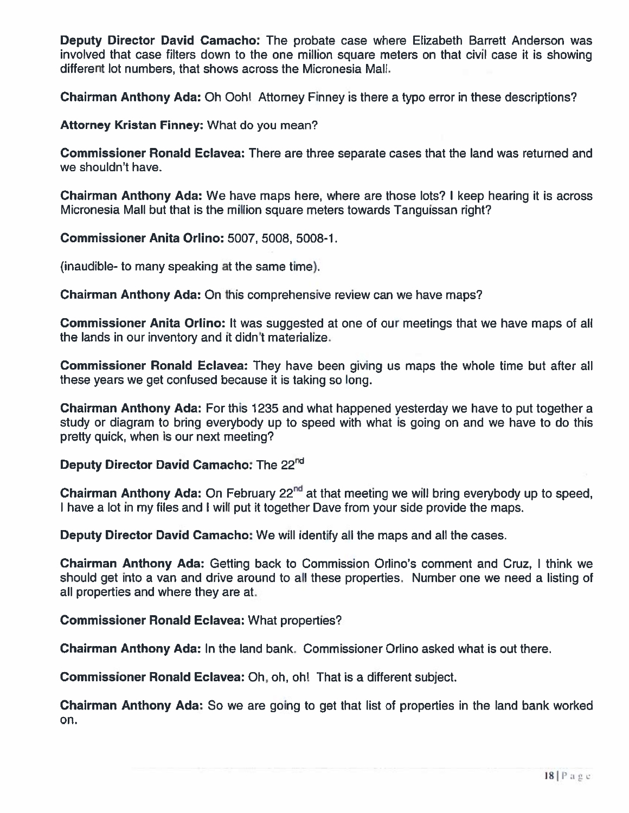Deputy Director David Camacho: The probate case where Elizabeth Barrett Anderson was involved that case filters down to the one million square meters on that civil case it is showing different lot numbers, that shows across the Micronesia Mall.

**Chairman Anthony Ada:** Oh Ooh! Attorney Finney is there a typo error in these descriptions?

Attorney Kristan Finney: What do you mean?

**Commissioner Ronald Eclavea:** There are three separate cases that the land was returned and we shouldn't have.

Chairman Anthony Ada: We have maps here, where are those lots? I keep hearing it is across Micronesia Mall but that is the million square meters towards Tanguissan right?

Commissioner Anita Orlino: 5007, 5008, 5008-1.

(inaudible- to many speaking at the same time).

Chairman Anthony Ada: On this comprehensive review can we have maps?

Commissioner Anita Orlino: It was suggested at one of our meetings that we have maps of all the lands in our inventory and it didn't materialize.

**Commissioner Ronald Eclavea:** They have been giving us maps the whole time but after al these years we ge<sup>t</sup> confused because it is taking so long.

Chairman Anthony Ada: For this 1235 and what happened yesterday we have to pu<sup>t</sup> together <sup>a</sup> study or diagram to bring everybody up to speed with what is going on and we have to do this pretty quick, when is our next meeting?

## Deputy Director David Camacho: The 22<sup>nd</sup>

**Chairman Anthony Ada:** On February 22<sup>nd</sup> at that meeting we will bring everybody up to speed I have a lot in my files and I will put it together Dave from your side provide the maps

Deputy Director David Camacho: We will identify all the maps and all the cases.

Chairman Anthony Ada: Getting back to Commission Orlino's comment and Cruz, I think we should ge<sup>t</sup> into <sup>a</sup> van and drive around to all these properties. Number one we need <sup>a</sup> listing of all properties and where they are at.

Commissioner Ronald Eclavea: What properties?

Chairman Anthony Ada: In the land bank. Commissioner Orlino asked what is out there.

**Commissioner Ronald Eclavea:** Oh, oh, oh! That is a different subject

**Chairman Anthony Ada:** So we are going to get that list of properties in the land bank worked on.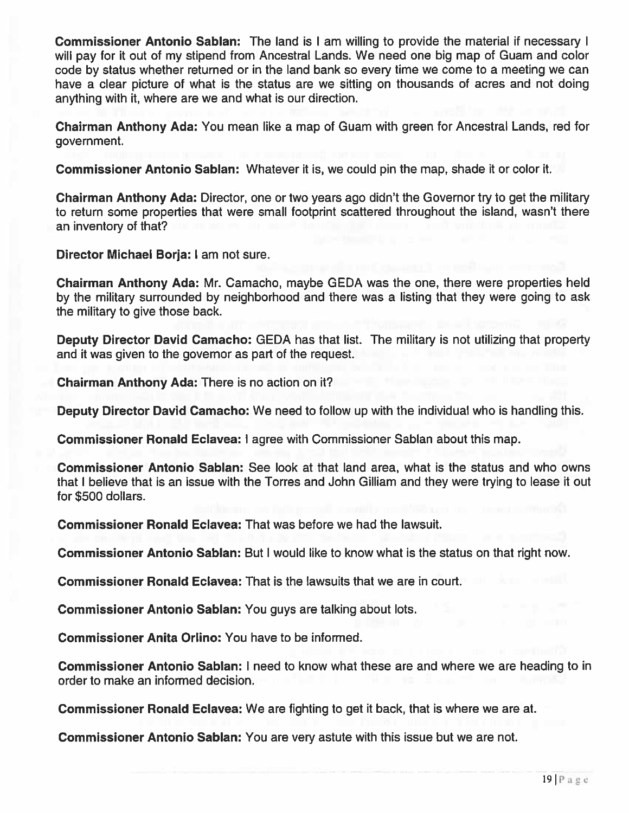Commissioner Antonio Sablan: The land is I am willing to provide the material if necessary I will pay for it out of my stipend from Ancestral Lands. We need one big map of Guam and color code by status whether returned or in the land bank so every time we come to <sup>a</sup> meeting we can have <sup>a</sup> clear picture of what is the status are we sitting on thousands of acres and not doing anything with it, where are we and what is our direction.

Chairman Anthony Ada: You mean like <sup>a</sup> map of Guam with green for Ancestral Lands, red for government.

Commissioner Antonio Sablan: Whatever it is, we could pin the map, shade it or color it.

Chairman Anthony Ada: Director, one or two years ago didn't the Governor try to ge<sup>t</sup> the military to return some properties that were small footprint scattered throughout the island, wasn't there an inventory of that?

Director Michael Borja: I am not sure.

Chairman Anthony Ada: Mr. Camacho, maybe GEDA was the one, there were properties held by the military surrounded by neighborhood and there was <sup>a</sup> listing that they were going to ask the military to give those back.

Deputy Director David Camacho: GEDA has that list. The military is not utilizing that property and it was given to the governor as par<sup>t</sup> of the request.

Chairman Anthony Ada: There is no action on it?

Deputy Director David Camacho: We need to follow up with the individual who is handling this.

Commissioner Ronald Eclavea: I agree with Commissioner Sablan about this map.

Commissioner Antonio Sablan: See look at that land area, what is the status and who owns that I believe that is an issue with the Torres and John Gilliam and they were trying to lease it out for 5500 dollars.

Commissioner Ronald Eclavea: That was before we had the lawsuit.

Commissioner Antonio Sablan: But I would like to know what is the status on that right now.

Commissioner Ronald Eclavea: That is the lawsuits that we are in court.

Commissioner Antonio Sablan: You guys are talking about lots.

Commissioner Anita Orlino: You have to be informed.

Commissioner Antonio Sablan: I need to know what these are and where we are heading to in order to make an informed decision.

Commissioner Ronald Eclavea: We are fighting to ge<sup>t</sup> it back, that is where we are at.

Commissioner Antonio Sablan: You are very astute with this issue but we are not.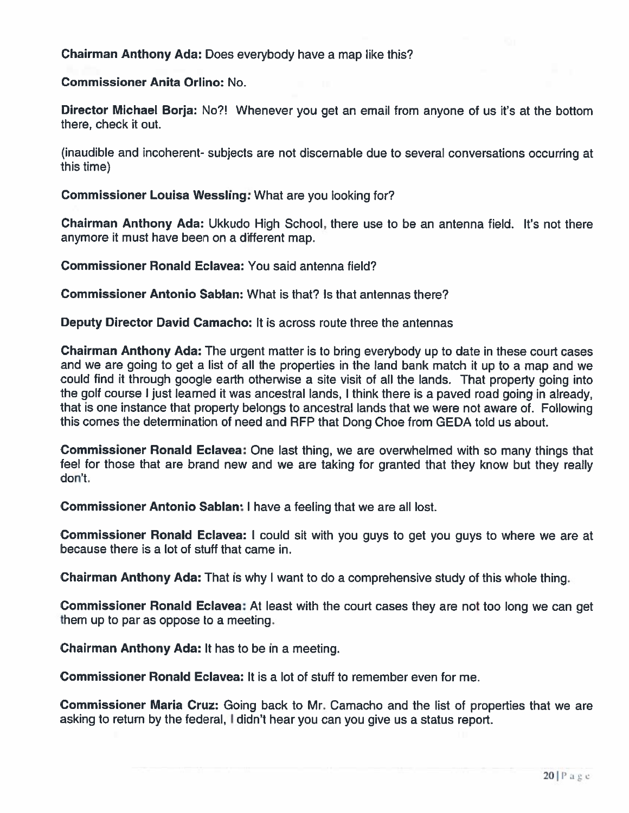Chairman Anthony Ada: Does everybody have <sup>a</sup> map like this?

Commissioner Anita Orlino: No.

Director Michael Borja: No?! Whenever you ge<sup>t</sup> an email from anyone of us it's at the bottom there, check it out.

(inaudible and incoherent- subjects are not discemable due to several conversations occurring at this time)

Commissioner Louisa Wessling: What are you looking for?

Chairman Anthony Ada: Ukkudo High School, there use to be an antenna field. It's not there anymore it must have been on <sup>a</sup> different map.

Commissioner Ronald Eclavea: You said antenna field?

Commissioner Antonio Sablan: What is that? Is that antennas there?

Deputy Director David Camacho: It is across route three the antennas

Chairman Anthony Ada: The urgen<sup>t</sup> matter is to bring everybody up to date in these court cases and we are going to ge<sup>t</sup> <sup>a</sup> list of all the properties in the land bank match it up to <sup>a</sup> map and we could find it through google earth otherwise <sup>a</sup> site visit of all the lands. That property going into the golf course <sup>I</sup> just learned it was ancestral lands, <sup>I</sup> think there is <sup>a</sup> paved road going in already, that is one instance that property belongs to ancestral lands that we were not aware of. Following this comes the determination of need and REP that Dong Choe from GEDA told us about.

Commissioner Ronald Eclavea: One last thing, we are overwhelmed with so many things that feel for those that are brand new and we are taking for granted that they know but they really don't.

Commissioner Antonio Sablan: I have <sup>a</sup> feeling that we are all lost.

Commissioner Ronald Eclavea: I could sit with you guys to ge<sup>t</sup> you guys to where we are at because there is <sup>a</sup> lot of stuff that came in.

**Chairman Anthony Ada:** That is why I want to do a comprehensive study of this whole thing

Commissioner Ronald Eclavea: At least with the court cases they are not too long we can ge<sup>t</sup> them up to par as oppose to <sup>a</sup> meeting.

Chairman Anthony Ada: It has to be in <sup>a</sup> meeting.

**Commissioner Ronald Eclavea:** It is a lot of stuff to remember even for me

Commissioner Maria Cruz: Going back to Mr. Camacho and the list of properties that we are asking to return by the federal, <sup>I</sup> didn't hear you can you <sup>g</sup>ive us <sup>a</sup> status report.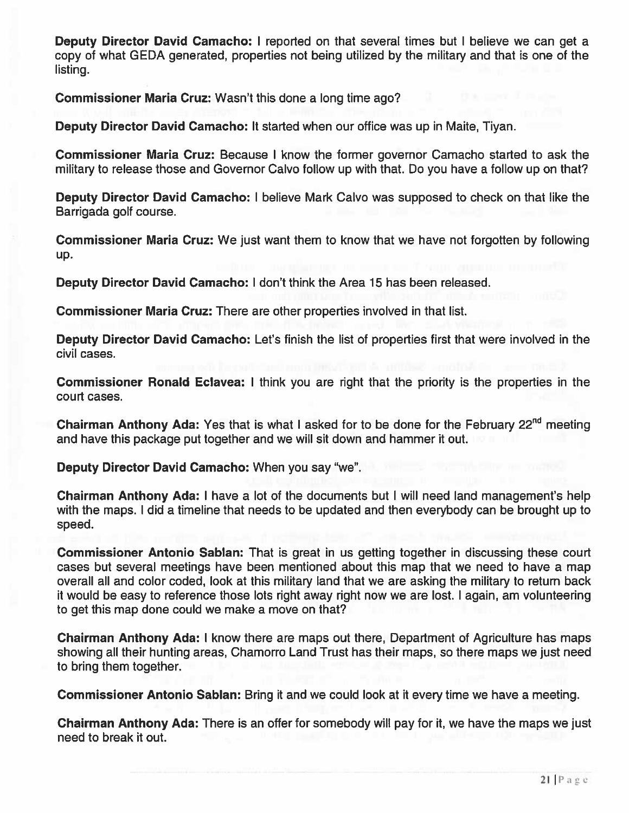Deputy Director David Camacho: I reported on that several times but I believe we can get a copy of what GEDA generated, properties not being utilized by the military and that is one of the listing.

Commissioner Maria Cruz: Wasn't this done <sup>a</sup> long time ago?

Deputy Director David Camacho: It started when our office was up in Maite, Tiyan.

Commissioner Maria Cruz: Because I know the former governor Camacho started to ask the military to release those and Governor Calvo follow up with that. Do you have <sup>a</sup> follow up on that?

Deputy Director David Camacho: I believe Mark Calvo was supposed to check on that like the Barrigada golf course.

Commissioner Maria Cruz: We just want them to know that we have not forgotten by following up.

Deputy Director David Camacho: I don't think the Area 15 has been released.

Commissioner Maria Cruz: There are other properties involved in that list.

Deputy Director David Camacho: Let's finish the list of properties first that were involved in the civil cases.

Commissioner Ronald Eclavea: I think you are right that the priority is the properties in the court cases.

Chairman Anthony Ada: Yes that is what I asked for to be done for the February 22<sup>nd</sup> meeting and have this package pu<sup>t</sup> together and we will sit down and hammer it out.

Deputy Director David Camacho: When you say "we".

Chairman Anthony Ada: I have <sup>a</sup> lot of the documents but I will need land management's help with the maps. I did <sup>a</sup> timeline that needs to be updated and then everybody can be brought up to speed.

Commissioner Antonio Sablan: That is grea<sup>t</sup> in us getting together in discussing these court cases but several meetings have been mentioned about this map that we need to have <sup>a</sup> map overall all and color coded, look at this military land that we are asking the military to return back it would be easy to reference those lots right away right now we are lost. I again, am volunteering to ge<sup>t</sup> this map done could we make <sup>a</sup> move on that?

Chairman Anthony Ada: I know there are maps out there, Department of Agriculture has maps showing all their hunting areas, Chamorro Land Trust has their maps, so there maps we just need to bring them together.

Commissioner Antonio Sablan: Bring it and we could look at it every time we have <sup>a</sup> meeting.

Chairman Anthony Ada: There is an offer for somebody will pay for it, we have the maps we just need to break it out.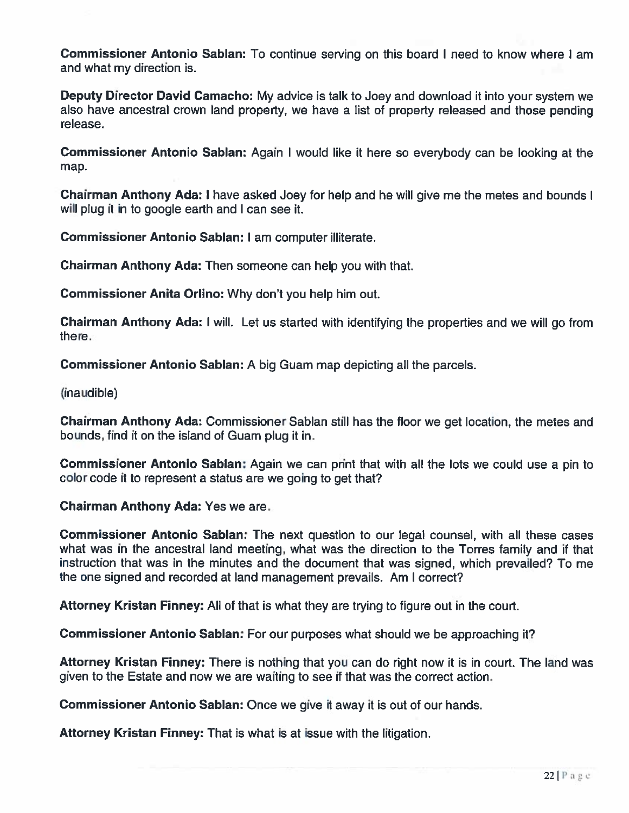Commissioner Antonio Sablan: To continue serving on this board I need to know where I am and what my direction is.

Deputy Director David Camacho: My advice is talk to Joey and download it into your system we also have ancestral crown land property, we have <sup>a</sup> list of property released and those pending release.

Commissioner Antonio Sablan: Again <sup>I</sup> would like it here so everybody can be looking at the map.

Chairman Anthony Ada: <sup>I</sup> have asked Joey for help and he will give me the metes and bounds <sup>I</sup> will plug it in to google earth and I can see it.

Commissioner Antonio Sablan: I am computer illiterate.

Chairman Anthony Ada: Then someone can help you with that.

Commissioner Anita Orlino: Why don't you help him out.

Chairman Anthony Ada: <sup>I</sup> will. Let us started with identifying the properties and we will go from there.

Commissioner Antonio Sablan: A big Guam map depicting all the parcels.

(inaudible)

Chairman Anthony Ada: Commissioner Sablan still has the floor we ge<sup>t</sup> location, the metes and bounds, find it on the island of Guam plug it in.

Commissioner Antonio Sablan: Again we can print that with all the lots we could use a pin to color code it to represen<sup>t</sup> <sup>a</sup> status are we going to ge<sup>t</sup> that?

Chairman Anthony Ada: Yes we are.

Commissioner Antonio Sablan: The next question to our legal counsel, with all these cases what was in the ancestral land meeting, what was the direction to the Torres family and if that instruction that was in the minutes and the document that was signed, which prevailed? To me the one signed and recorded at land managemen<sup>t</sup> prevails. Am I correct?

Attorney Kristan Finney: All of that is what they are trying to figure out in the court.

Commissioner Antonio Sablan: For our purposes what should we be approaching it?

Attorney Kristan Finney: There is nothing that you can do right now it is in court. The land was given to the Estate and now we are waiting to see if that was the correct action.

**Commissioner Antonio Sablan:** Once we give it away it is out of our hands

Attorney Kristan Finney: That is what is at issue with the litigation.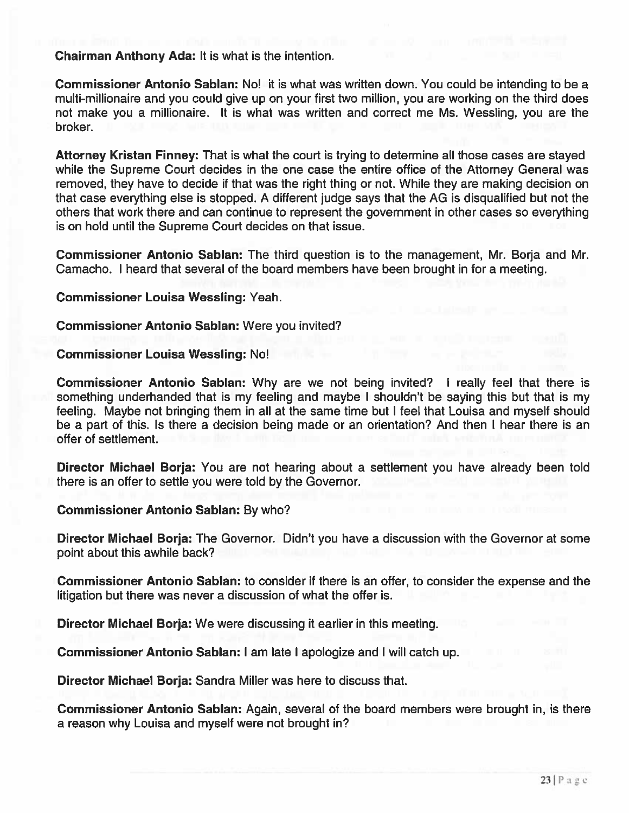Chairman Anthony Ada: It is what is the intention.

Commissioner Antonio Sablan: No! it is what was written down. You could be intending to be <sup>a</sup> multi-millionaire and you could give up on your first two million, you are working on the third does not make you <sup>a</sup> millionaire. It is what was written and correct me Ms. Wessling, you are the broker.

Attorney Kristan Finney: That is what the court is trying to determine all those cases are stayed while the Supreme Court decides in the one case the entire office of the Attorney General was removed, they have to decide if that was the right thing or not. While they are making decision on that case everything else is stopped. A different judge says that the AG is disqualified but not the others that work there and can continue to represen<sup>t</sup> the governmen<sup>t</sup> in other cases so everything is on hold until the Supreme Court decides on that issue.

Commissioner Antonio Sablan: The third question is to the management, Mr. Borja and Mr. Camacho. I heard that several of the board members have been brought in for <sup>a</sup> meeting.

Commissioner Louisa Wessling: Yeah.

Commissioner Antonio Sablan: Were you invited?

Commissioner Louisa Wessling: No!

Commissioner Antonio Sablan: Why are we not being invited? I really feel that there is something underhanded that is my feeling and maybe I shouldn't be saying this but that is my feeling. Maybe not bringing them in all at the same time but I feel that Louisa and myself should be <sup>a</sup> par<sup>t</sup> of this. Is there <sup>a</sup> decision being made or an orientation? And then I hear there is an offer of settlement.

Director Michael Borja: You are not hearing about <sup>a</sup> settlement you have already been told there is an offer to settle you were told by the Governor.

#### Commissioner Antonio Sablan: By who?

Director Michael Borja: The Governor. Didn't you have <sup>a</sup> discussion with the Governor at some point about this awhile back?

Commissioner Antonio Sablan: to consider if there is an offer, to consider the expense and the litigation but there was never <sup>a</sup> discussion of what the offer is.

Director Michael Borja: We were discussing it earlier in this meeting.

Commissioner Antonio Sablan: I am late I apologize and I will catch up.

Director Michael Borja: Sandra Miller was here to discuss that.

Commissioner Antonio Sablan: Again, several of the board members were brought in, is there <sup>a</sup> reason why Louisa and myself were not brought in?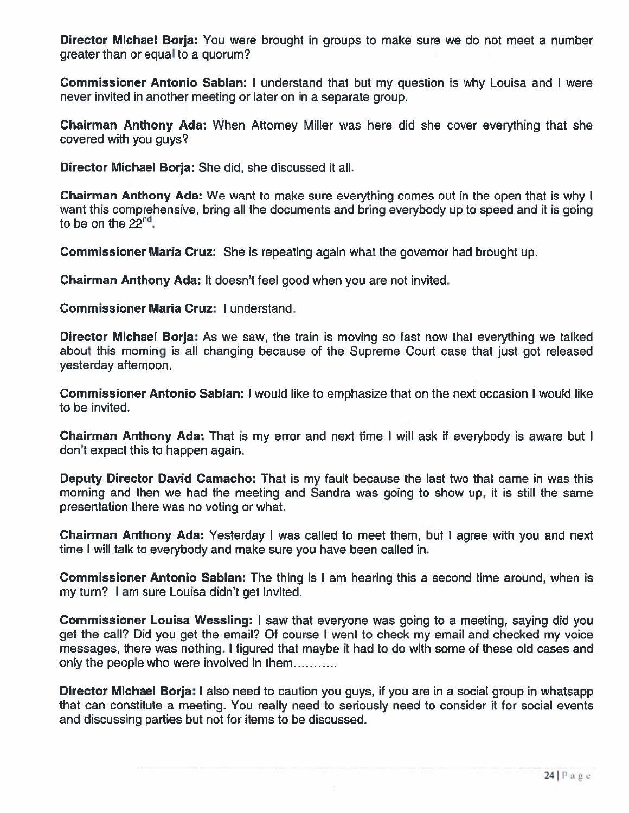Director Michael Borja: You were brought in groups to make sure we do not meet <sup>a</sup> number greater than or equal to <sup>a</sup> quorum?

Commissioner Antonio Sablan: I understand that but my question is why Louisa and I were never invited in another meeting or later on in <sup>a</sup> separate group.

Chairman Anthony Ada: When Attorney Miller was here did she cover everything that she covered with you guys?

Director Michael Borja: She did, she discussed it all.

**Chairman Anthony Ada:** We want to make sure everything comes out in the open that is why want this comprehensive, bring all the documents and bring everybody up to speed and it is going to be on the  $22<sup>nt</sup>$ 

**Commissioner Maria Cruz:** She is repeating again what the governor had brought up

Chairman Anthony Ada: It doesn't feel good when you are not invited.

Commissioner Maria Cruz: I understand.

Director Michael Borja: As we saw, the train is moving so fast now that everything we talked about this morning is all changing because of the Supreme Court case that just got released yesterday afternoon.

Commissioner Antonio Sablan: I would like to emphasize that on the next occasion I would like to be invited.

Chairman Anthony Ada: That is my error and next time I will ask if everybody is aware but don't expec<sup>t</sup> this to happen again.

Deputy Director David Camacho: That is my fault because the last two that came in was this morning and then we had the meeting and Sandra was going to show up, it is still the same presentation there was no voting or what.

Chairman Anthony Ada: Yesterday I was called to meet them, but I agree with you and next time I will talk to everybody and make sure you have been called in.

Commissioner Antonio Sablan: The thing is I am hearing this <sup>a</sup> second time around, when is my turn? I am sure Louisa didn't ge<sup>t</sup> invited.

Commissioner Louisa Wessling: <sup>I</sup> saw that everyone was going to <sup>a</sup> meeting, saying did you ge<sup>t</sup> the call? Did you ge<sup>t</sup> the email? Of course <sup>I</sup> went to check my email and checked my voice messages, there was nothing. I figured that maybe it had to do with some of these old cases and only the people who were involved in them

**Director Michael Borja: I** also need to caution you guys, if you are in a social group in whatsapp that can constitute <sup>a</sup> meeting. You really need to seriously need to consider it for social events and discussing parties but not for items to be discussed.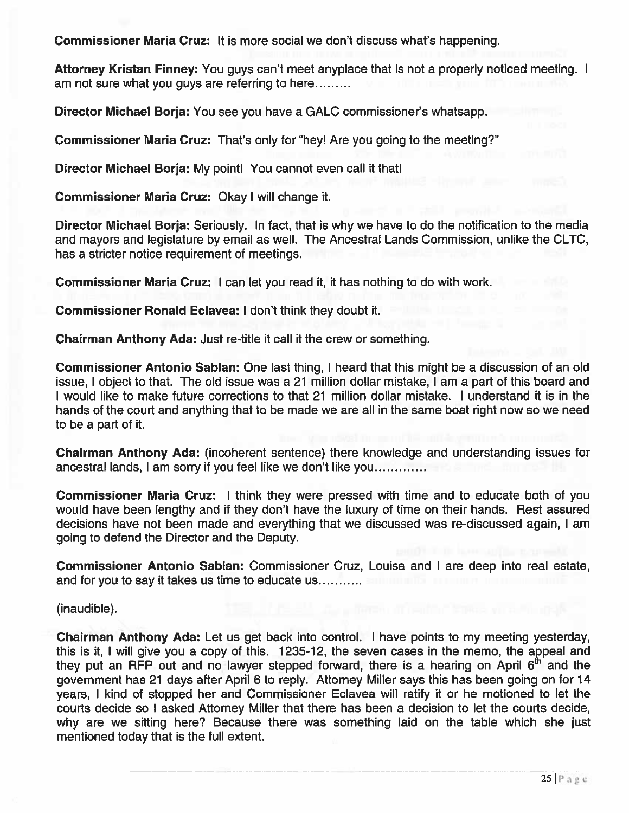Commissioner Maria Cruz: It is more social we don't discuss what's happening.

Attorney Kristan Finney: You guys can't meet anyplace that is not a properly noticed meeting. I am not sure what you guys are referring to here

Director Michael Borja: You see you have <sup>a</sup> GALC commissioner's whatsapp.

Commissioner Maria Cruz: That's only for "hey! Are you going to the meeting?"

Director Michael Borja: My point! You cannot even call it that!

Commissioner Maria Cruz: Okay I will change it.

Director Michael Borja: Seriously. In fact, that is why we have to do the notification to the media and mayors and legislature by email as well. The Ancestral Lands Commission, unlike the CLTC, has <sup>a</sup> stricter notice requirement of meetings.

Commissioner Maria Cruz: I can let you read it, it has nothing to do with work.

Commissioner Ronald Eclavea: I don't think they doubt it.

Chairman Anthony Ada: Just re-title it call it the crew or something.

Commissioner Antonio Sablan: One last thing, I heard that this might be <sup>a</sup> discussion of an old issue, I object to that. The old issue was <sup>a</sup> 21 million dollar mistake, I am <sup>a</sup> par<sup>t</sup> of this board and I would like to make future corrections to that 21 million dollar mistake. I understand it is in the hands of the court and anything that to be made we are all in the same boat right now so we need to be <sup>a</sup> par<sup>t</sup> of it.

Chairman Anthony Ada: (incoherent sentence) there knowledge and understanding issues for ancestral lands, I am sorry if you feel like we don't like you

Commissioner Maria Cruz: I think they were pressed with time and to educate both of you would have been lengthy and if they don't have the luxury of time on their hands. Rest assured decisions have not been made and everything that we discussed was re-discussed again, I am going to defend the Director and the Deputy.

Commissioner Antonio Sablan: Commissioner Cruz, Louisa and I are deep into real estate, and for you to say it takes us time to educate us

(inaudible).

Chairman Anthony Ada: Let us ge<sup>t</sup> back into control. I have points to my meeting yesterday, this is it, I will give you <sup>a</sup> copy of this. 1235-12, the seven cases in the memo, the appeal and they put an RFP out and no lawyer stepped forward, there is a hearing on April  $6<sup>th</sup>$  and the governmen<sup>t</sup> has 21 days after April 6 to reply. Attorney Miller says this has been going on for 14 years, I kind of stopped her and Commissioner Eclavea will ratify it or he motioned to let the courts decide so I asked Attorney Miller that there has been <sup>a</sup> decision to let the courts decide, why are we sitting here? Because there was something laid on the table which she just mentioned today that is the full extent.